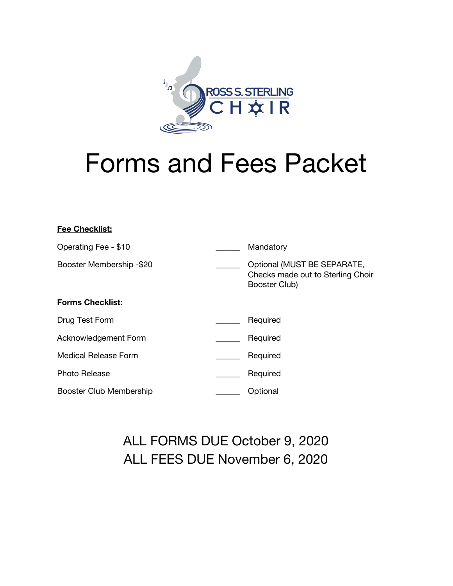

# Forms and Fees Packet

| <b>Fee Checklist:</b>    |                                                                                   |
|--------------------------|-----------------------------------------------------------------------------------|
| Operating Fee - \$10     | Mandatory                                                                         |
| Booster Membership -\$20 | Optional (MUST BE SEPARATE,<br>Checks made out to Sterling Choir<br>Booster Club) |
| <b>Forms Checklist:</b>  |                                                                                   |
| Drug Test Form           | Required                                                                          |
| Acknowledgement Form     | Required                                                                          |
| Medical Release Form     | Required                                                                          |
| <b>Photo Release</b>     | Required                                                                          |
| Booster Club Membership  | Optional                                                                          |

## ALL FORMS DUE October 9, 2020 ALL FEES DUE November 6, 2020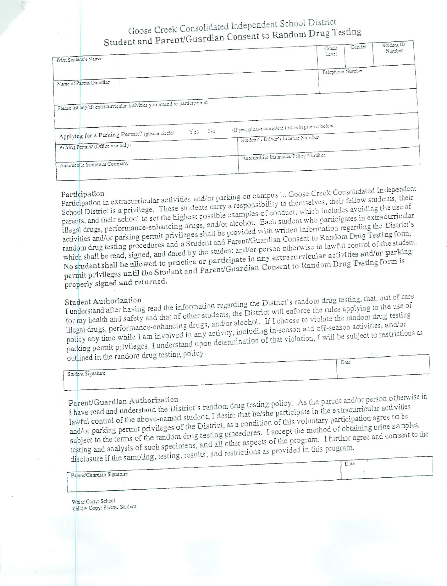## Goose Creek Consolidated Independent School District Student and Parent/Guardian Consent to Random Drug Testing

| $\cup$ . Let $\cup$ $\sim$                                                  |        |  |                                                |       |                  | Saident m |
|-----------------------------------------------------------------------------|--------|--|------------------------------------------------|-------|------------------|-----------|
|                                                                             |        |  |                                                | Cruie | Cender           | Number    |
| Print Stadent's Name                                                        |        |  |                                                | Level |                  |           |
|                                                                             |        |  |                                                |       | Telephone Number |           |
| Nurse of Parent Guardian                                                    |        |  |                                                |       |                  |           |
|                                                                             |        |  |                                                |       |                  |           |
|                                                                             |        |  |                                                |       |                  |           |
|                                                                             |        |  |                                                |       |                  |           |
|                                                                             |        |  |                                                |       |                  |           |
|                                                                             |        |  |                                                |       |                  |           |
| Please list any/all extracurricular activities you intend to participate in | Yes No |  | (if yes, please complete following items below |       |                  |           |
| Applying for a Parking Permit? (please circle)                              |        |  | Student's Driver's License Number              |       |                  |           |
| Parking Permist (Office use only)                                           |        |  |                                                |       |                  |           |
|                                                                             |        |  | Automobile Insurince Policy Number             |       |                  |           |

Participation in extracurricular activities and/or parking on campus in Goose Creek Consolidated Independent School District is a privilege. These students carry a responsibility to themselves, their fellow students, their parents, and their school to set the highest possible examples of conduct, which includes avoiding the use of illegal drugs, performance-enhancing drugs, and/or alcohol. Each student who participates in extracurricular activities and/or parking permit privileges shall be provided with written information regarding the District's random drug testing procedures and a Student and Parent/Guardian Consent to Random Drug Testing form, which shall be read, signed, and dated by the student and/or person otherwise in lawful control of the student. No student shall be allowed to practice or participate in any extracurricular activities and/or parking permit privileges until the Student and Parent/Guardian Consent to Random Drug Testing form is properly signed and returned.

I understand after having read the information regarding the District's random drug testing, that, out of care for my health and safety and that of other students, the District will enforce the rules applying to the use of illegal drugs, performance-enhancing drugs, and/or alcohol. If I choose to violate the random drug testing policy any time while I am involved in any activity, including in-season and off-season activities, and/or parking permit privileges, I understand upon determination of that violation, I will be subject to restrictions as outlined in the random drug testing policy.  $\sqrt{a}$ 

| __<br>Student Signature |  |
|-------------------------|--|
|                         |  |
|                         |  |

I have read and understand the District's random drug testing policy. As the parent and/or person otherwise in lawful control of the above-named student, I desire that he/she participate in the extracurricular activities and/or parking permit privileges of the District, as a condition of this voluntary participation agree to be subject to the terms of the random drug testing procedures. I accept the method of obtaining urine samples, testing and analysis of such specimens, and all other aspects of the program. I further agree and consent to the disclosure if the sampling, testing, results, and restrictions as provided in this program.

|                           | nara<br>. |
|---------------------------|-----------|
|                           |           |
| Parent/Guardian Signature |           |
| _______                   |           |

White Copy: School Yellow Copy: Parent, Sudent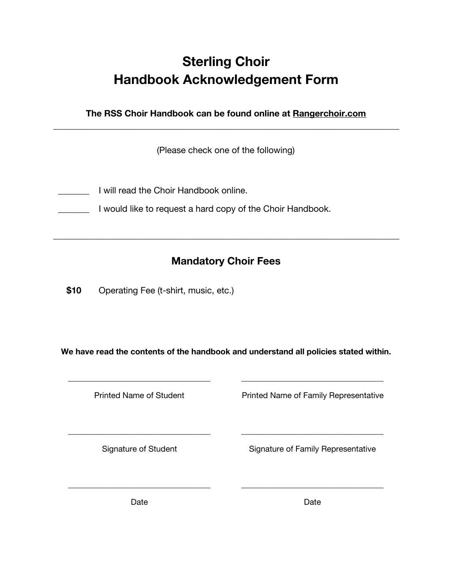## **Sterling Choir Handbook Acknowledgement Form**

**The RSS Choir Handbook can be found online at Rangerchoir.com \_\_\_\_\_\_\_\_\_\_\_\_\_\_\_\_\_\_\_\_\_\_\_\_\_\_\_\_\_\_\_\_\_\_\_\_\_\_\_\_\_\_\_\_\_\_\_\_\_\_\_\_\_\_\_\_\_\_\_\_\_\_\_\_\_\_\_\_\_\_\_\_\_\_\_\_\_\_**

(Please check one of the following)

- \_\_\_\_\_\_\_ I will read the Choir Handbook online.
- **The Leville Studie is a large vertex** a hard copy of the Choir Handbook.

### **Mandatory Choir Fees**

**\_\_\_\_\_\_\_\_\_\_\_\_\_\_\_\_\_\_\_\_\_\_\_\_\_\_\_\_\_\_\_\_\_\_\_\_\_\_\_\_\_\_\_\_\_\_\_\_\_\_\_\_\_\_\_\_\_\_\_\_\_\_\_\_\_\_\_\_\_\_\_\_\_\_\_\_\_\_**

**\$10** Operating Fee (t-shirt, music, etc.)

**We have read the contents of the handbook and understand all policies stated within.**

**\_\_\_\_\_\_\_\_\_\_\_\_\_\_\_\_\_\_\_\_\_\_\_\_\_\_\_\_\_\_\_\_\_\_\_ \_\_\_\_\_\_\_\_\_\_\_\_\_\_\_\_\_\_\_\_\_\_\_\_\_\_\_\_\_\_\_\_\_\_\_**

**\_\_\_\_\_\_\_\_\_\_\_\_\_\_\_\_\_\_\_\_\_\_\_\_\_\_\_\_\_\_\_\_\_\_\_ \_\_\_\_\_\_\_\_\_\_\_\_\_\_\_\_\_\_\_\_\_\_\_\_\_\_\_\_\_\_\_\_\_\_\_**

**\_\_\_\_\_\_\_\_\_\_\_\_\_\_\_\_\_\_\_\_\_\_\_\_\_\_\_\_\_\_\_\_\_\_\_ \_\_\_\_\_\_\_\_\_\_\_\_\_\_\_\_\_\_\_\_\_\_\_\_\_\_\_\_\_\_\_\_\_\_\_**

Printed Name of Student Printed Name of Family Representative

Signature of Student Signature of Family Representative

Date **Date** Date **Date**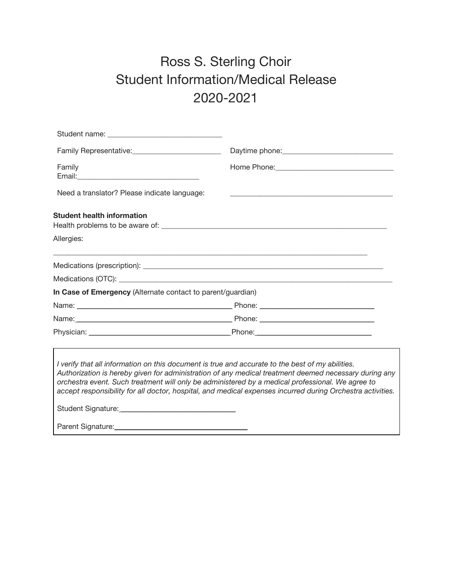## Ross S. Sterling Choir Student Information/Medical Release 2020-2021

| Family                                                                                                                                                                                                                                                   |                                                                                                                                                                                                                     |  |  |  |
|----------------------------------------------------------------------------------------------------------------------------------------------------------------------------------------------------------------------------------------------------------|---------------------------------------------------------------------------------------------------------------------------------------------------------------------------------------------------------------------|--|--|--|
| Need a translator? Please indicate language:                                                                                                                                                                                                             |                                                                                                                                                                                                                     |  |  |  |
| <b>Student health information</b><br>Allergies:                                                                                                                                                                                                          |                                                                                                                                                                                                                     |  |  |  |
|                                                                                                                                                                                                                                                          |                                                                                                                                                                                                                     |  |  |  |
|                                                                                                                                                                                                                                                          |                                                                                                                                                                                                                     |  |  |  |
| In Case of Emergency (Alternate contact to parent/guardian)                                                                                                                                                                                              |                                                                                                                                                                                                                     |  |  |  |
|                                                                                                                                                                                                                                                          |                                                                                                                                                                                                                     |  |  |  |
|                                                                                                                                                                                                                                                          |                                                                                                                                                                                                                     |  |  |  |
|                                                                                                                                                                                                                                                          |                                                                                                                                                                                                                     |  |  |  |
| I verify that all information on this document is true and accurate to the best of my abilities.<br>orchestra event. Such treatment will only be administered by a medical professional. We agree to<br>Student Signature: Management Student Signature: | Authorization is hereby given for administration of any medical treatment deemed necessary during any<br>accept responsibility for all doctor, hospital, and medical expenses incurred during Orchestra activities. |  |  |  |

Parent Signature:\_\_\_\_\_\_\_\_\_\_\_\_\_\_\_\_\_\_\_\_\_\_\_\_\_\_\_\_\_\_\_\_\_\_\_\_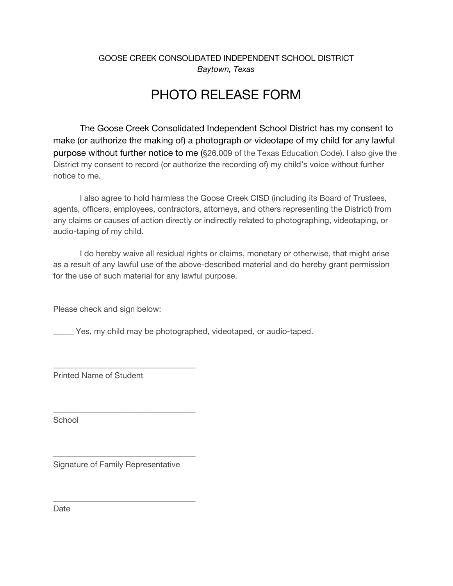#### GOOSE CREEK CONSOLIDATED INDEPENDENT SCHOOL DISTRICT *Baytown, Texas*

## PHOTO RELEASE FORM

The Goose Creek Consolidated Independent School District has my consent to make (or authorize the making of) a photograph or videotape of my child for any lawful purpose without further notice to me (§26.009 of the Texas Education Code). I also give the District my consent to record (or authorize the recording of) my child's voice without further notice to me.

I also agree to hold harmless the Goose Creek CISD (including its Board of Trustees, agents, officers, employees, contractors, attorneys, and others representing the District) from any claims or causes of action directly or indirectly related to photographing, videotaping, or audio-taping of my child.

I do hereby waive all residual rights or claims, monetary or otherwise, that might arise as a result of any lawful use of the above-described material and do hereby grant permission for the use of such material for any lawful purpose.

Please check and sign below:

Yes, my child may be photographed, videotaped, or audio-taped.

Printed Name of Student

School

Signature of Family Representative

\_\_\_\_\_\_\_\_\_\_\_\_\_\_\_\_\_\_\_\_\_\_\_\_\_\_\_\_\_\_\_\_\_\_\_

\_\_\_\_\_\_\_\_\_\_\_\_\_\_\_\_\_\_\_\_\_\_\_\_\_\_\_\_\_\_\_\_\_\_\_

\_\_\_\_\_\_\_\_\_\_\_\_\_\_\_\_\_\_\_\_\_\_\_\_\_\_\_\_\_\_\_\_\_\_\_

\_\_\_\_\_\_\_\_\_\_\_\_\_\_\_\_\_\_\_\_\_\_\_\_\_\_\_\_\_\_\_\_\_\_\_

**Date**